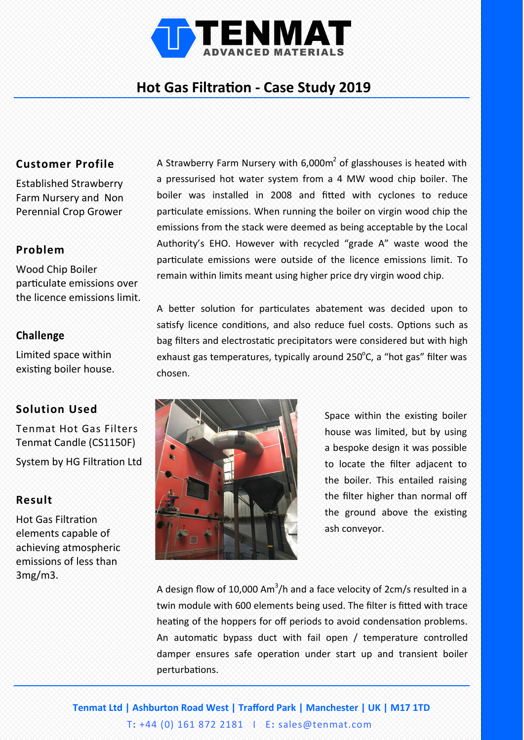

# **Hot Gas Filtration - Case Study 2019**

## **Customer Profile**

Established Strawberry Farm Nursery and Non Perennial Crop Grower

## **Problem**

Wood Chip Boiler particulate emissions over the licence emissions limit.

#### **Challenge**

Limited space within existing boiler house.

### **Solution Used**

Tenmat Hot Gas Filters Tenmat Candle (CS1150F)

System by HG Filtration Ltd

#### **Result**

Hot Gas Filtration elements capable of achieving atmospheric emissions of less than 3mg/m3.

A Strawberry Farm Nursery with  $6,000m^2$  of glasshouses is heated with a pressurised hot water system from a 4 MW wood chip boiler. The boiler was installed in 2008 and fitted with cyclones to reduce particulate emissions. When running the boiler on virgin wood chip the emissions from the stack were deemed as being acceptable by the Local Authority's EHO. However with recycled "grade A" waste wood the particulate emissions were outside of the licence emissions limit. To remain within limits meant using higher price dry virgin wood chip.

A better solution for particulates abatement was decided upon to satisfy licence conditions, and also reduce fuel costs. Options such as bag filters and electrostatic precipitators were considered but with high exhaust gas temperatures, typically around 250 $^{\circ}$ C, a "hot gas" filter was chosen.



Space within the existing boiler house was limited, but by using a bespoke design it was possible to locate the filter adjacent to the boiler. This entailed raising the filter higher than normal off the ground above the existing ash conveyor.

A design flow of 10,000 Am<sup>3</sup>/h and a face velocity of 2cm/s resulted in a twin module with 600 elements being used. The filter is fitted with trace heating of the hoppers for off periods to avoid condensation problems. An automatic bypass duct with fail open / temperature controlled damper ensures safe operation under start up and transient boiler perturbations.